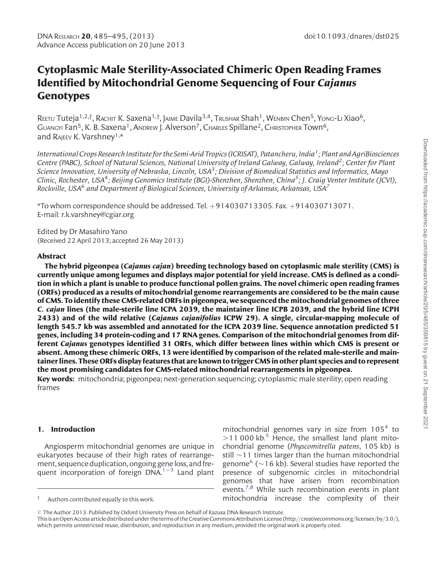# Cytoplasmic Male Sterility-Associated Chimeric Open Reading Frames Identified by Mitochondrial Genome Sequencing of Four Cajanus **Genotypes**

REETU Tuteja<sup>1,2,†</sup>, RACHIT K. Saxena<sup>1,†</sup>, JAIME Davila<sup>3,4</sup>, TRUSHAR Shah<sup>1</sup>, WENBIN Chen<sup>5</sup>, Yong-Li Xiao<sup>6</sup>, GUANGYI Fan<sup>5</sup>, K. B. Saxena<sup>1</sup>, ANDREW J. Alverson<sup>7</sup>, CHARLES Spillane<sup>2</sup>, CHRISTOPHER Town<sup>6</sup>, and RAJEEV K. Varshney<sup>1,\*</sup>

International Crops Research Institute for the Semi-Arid Tropics (ICRISAT), Patancheru, India<sup>1</sup>; Plant and AgriBiosciences Centre (PABC), School of Natural Sciences, National University of Ireland Galway, Galway, Ireland<sup>2</sup>; Center for Plant Science Innovation, University of Nebraska, Lincoln, USA<sup>3</sup>; Division of Biomedical Statistics and Informatics, Mayo Clinic, Rochester, USA<sup>4</sup>; Beijing Genomics Institute (BGI)-Shenzhen, Shenzhen, China<sup>5</sup>; J. Craig Venter Institute (JCVI), Rockville, USA $^6$  and Department of Biological Sciences, University of Arkansas, Arkansas, USA $^7$ 

 $*$ To whom correspondence should be addressed. Tel.  $+914030713305$ . Fax.  $+914030713071$ . E-mail: r.k.varshney@cgiar.org

Edited by Dr Masahiro Yano (Received 22 April 2013; accepted 26 May 2013)

## Abstract

The hybrid pigeonpea (Cajanus cajan) breeding technology based on cytoplasmic male sterility (CMS) is currently unique among legumes and displays major potential for yield increase. CMS is defined as a condition in which a plant is unable to produce functional pollen grains. The novel chimeric open reading frames (ORFs) produced as a results of mitochondrial genome rearrangements are considered to be the main cause of CMS. To identify these CMS-related ORFs in pigeonpea, we sequenced the mitochondrial genomes of three C. cajan lines (the male-sterile line ICPA 2039, the maintainer line ICPB 2039, and the hybrid line ICPH 2433) and of the wild relative (Cajanus cajanifolius ICPW 29). A single, circular-mapping molecule of length 545.7 kb was assembled and annotated for the ICPA 2039 line. Sequence annotation predicted 51 genes, including 34 protein-coding and 17 RNA genes. Comparison of the mitochondrial genomes from different Cajanus genotypes identified 31 ORFs, which differ between lines within which CMS is present or absent. Among these chimeric ORFs, 13 were identified by comparison of the related male-sterile and maintainer lines. These ORFs display features that are known to trigger CMS in other plant species and to represent the most promising candidates for CMS-related mitochondrial rearrangements in pigeonpea.

Key words: mitochondria; pigeonpea; next-generation sequencing; cytoplasmic male sterility; open reading frames

## 1. Introduction

Angiosperm mitochondrial genomes are unique in eukaryotes because of their high rates of rearrangement, sequence duplication, ongoing gene loss, and frequent incorporation of foreign  $DNA.<sup>1-3</sup>$  $DNA.<sup>1-3</sup>$  $DNA.<sup>1-3</sup>$  $DNA.<sup>1-3</sup>$  $DNA.<sup>1-3</sup>$  Land plant

mitochondrial genomes vary in size from  $105<sup>4</sup>$  $105<sup>4</sup>$  $105<sup>4</sup>$  to  $>$ 11 000 kb.<sup>[5](#page-9-0)</sup> Hence, the smallest land plant mitochondrial genome (Physcomitrella patens, 105 kb) is still  $\sim$ 11 times larger than the human mitochondrial genome<sup>6</sup> ( $\sim$ 16 kb). Several studies have reported the presence of subgenomic circles in mitochondrial genomes that have arisen from recombination events.<sup>[7](#page-9-0),[8](#page-9-0)</sup> While such recombination events in plant Authors contributed equally to this work. <br> **mitochondria** increase the complexity of their

<sup>©</sup> The Author 2013. Published by Oxford University Press on behalf of Kazusa DNA Research Institute.

This is an Open Access article distributed under the terms of the Creative Commons Attribution License (http://creativecommons.org/licenses/by/3.0/), which permits unrestricted reuse, distribution, and reproduction in any medium, provided the original work is properly cited.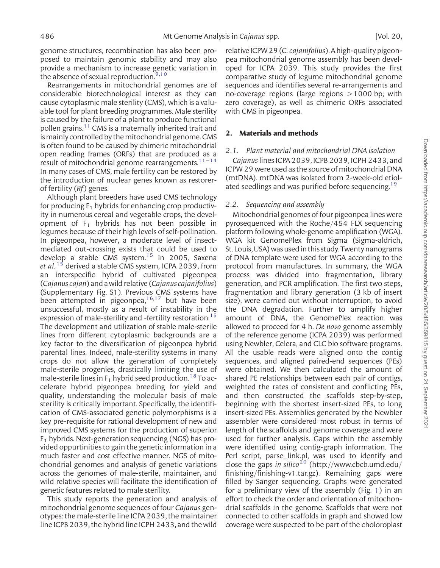genome structures, recombination has also been proposed to maintain genomic stability and may also provide a mechanism to increase genetic variation in the absence of sexual reproduction. $9,10$  $9,10$  $9,10$ 

Rearrangements in mitochondrial genomes are of considerable biotechnological interest as they can cause cytoplasmic male sterility (CMS), which is a valuable tool for plant breeding programmes. Male sterility is caused by the failure of a plant to produce functional pollen grains.<sup>11</sup> CMS is a maternally inherited trait and is mainly controlled by the mitochondrial genome. CMS is often found to be caused by chimeric mitochondrial open reading frames (ORFs) that are produced as a result of mitochondrial genome rearrangements.<sup>11-[14](#page-9-0)</sup> In many cases of CMS, male fertility can be restored by the introduction of nuclear genes known as restorerof fertility  $(Rf)$  genes.

Although plant breeders have used CMS technology for producing  $F_1$  hybrids for enhancing crop productivity in numerous cereal and vegetable crops, the development of  $F_1$  hybrids has not been possible in legumes because of their high levels of self-pollination. In pigeonpea, however, a moderate level of insectmediated out-crossing exists that could be used to develop a stable CMS system.<sup>[15](#page-9-0)</sup> In 2005, Saxena et al.<sup>[15](#page-9-0)</sup> derived a stable CMS system, ICPA 2039, from an interspecific hybrid of cultivated pigeonpea (Cajanus cajan) and awild relative (Cajanus cajanifolius) [\(Supplementary Fig. S1\)](http://dnaresearch.oxfordjournals.org/lookup/suppl/doi:10.1093/dnares/dst025/-/DC1). Previous CMS systems have been attempted in pigeonpea,<sup>[16](#page-9-0),[17](#page-9-0)</sup> but have been unsuccessful, mostly as a result of instability in the expression of male-sterility and -fertility restoration.<sup>[15](#page-9-0)</sup> The development and utilization of stable male-sterile lines from different cytoplasmic backgrounds are a key factor to the diversification of pigeonpea hybrid parental lines. Indeed, male-sterility systems in many crops do not allow the generation of completely male-sterile progenies, drastically limiting the use of male-sterile lines in  $F_1$  hybrid seed production.<sup>[18](#page-9-0)</sup> To accelerate hybrid pigeonpea breeding for yield and quality, understanding the molecular basis of male sterility is critically important. Specifically, the identification of CMS-associated genetic polymorphisms is a key pre-requisite for rational development of new and improved CMS systems for the production of superior  $F_1$  hybrids. Next-generation sequencing (NGS) has provided oppurtinities to gain the genetic information in a much faster and cost effective manner. NGS of mitochondrial genomes and analysis of genetic variations across the genomes of male-sterile, maintainer, and wild relative species will facilitate the identification of genetic features related to male sterility.

This study reports the generation and analysis of mitochondrial genome sequences of four Cajanus genotypes: the male-sterile line ICPA 2039, the maintainer line ICPB 2039, the hybrid line ICPH 2433, and the wild

relative ICPW 29 (C. cajanifolius). A high-quality pigeonpea mitochondrial genome assembly has been developed for ICPA 2039. This study provides the first comparative study of legume mitochondrial genome sequences and identifies several re-arrangements and no-coverage regions (large regions  $>1000$  bp; with zero coverage), as well as chimeric ORFs associated with CMS in pigeonpea.

#### 2. Materials and methods

#### 2.1. Plant material and mitochondrial DNA isolation

Cajanuslines ICPA 2039, ICPB 2039, ICPH 2433, and ICPW 29 were used as the source of mitochondrial DNA (mtDNA). mtDNA was isolated from 2-week-old etiol-ated seedlings and was purified before sequencing.<sup>[19](#page-9-0)</sup>

#### 2.2. Sequencing and assembly

Mitochondrial genomes of four pigeonpea lines were pyrosequenced with the Roche/454 FLX sequencing platform following whole-genome amplification (WGA). WGA kit GenomePlex from Sigma (Sigma-aldrich, St.Louis,USA)wasusedinthisstudy.Twentynanograms of DNA template were used for WGA according to the protocol from manufactures. In summary, the WGA process was divided into fragmentation, library generation, and PCR amplification. The first two steps, fragmentation and library generation (3 kb of insert size), were carried out without interruption, to avoid the DNA degradation. Further to amplify higher amount of DNA, the GenomePlex reaction was allowed to proceed for 4 h. De novo genome assembly of the reference genome (ICPA 2039) was performed using Newbler, Celera, and CLC bio software programs. All the usable reads were aligned onto the contig sequences, and aligned paired-end sequences (PEs) were obtained. We then calculated the amount of shared PE relationships between each pair of contigs, weighted the rates of consistent and conflicting PEs, and then constructed the scaffolds step-by-step, beginning with the shortest insert-sized PEs, to long insert-sized PEs. Assemblies generated by the Newbler assembler were considered most robust in terms of length of the scaffolds and genome coverage and were used for further analysis. Gaps within the assembly were identified using contig-graph information. The Perl script, parse link.pl, was used to identify and close the gaps in silico<sup>[20](#page-9-0)</sup> (http://www.cbcb.umd.edu/ finishing/finishing-v1.tar.gz). Remaining gaps were filled by Sanger sequencing. Graphs were generated for a preliminary view of the assembly (Fig. [1](#page-2-0)) in an effort to check the order and orientation of mitochondrial scaffolds in the genome. Scaffolds that were not connected to other scaffolds in graph and showed low coverage were suspected to be part of the choloroplast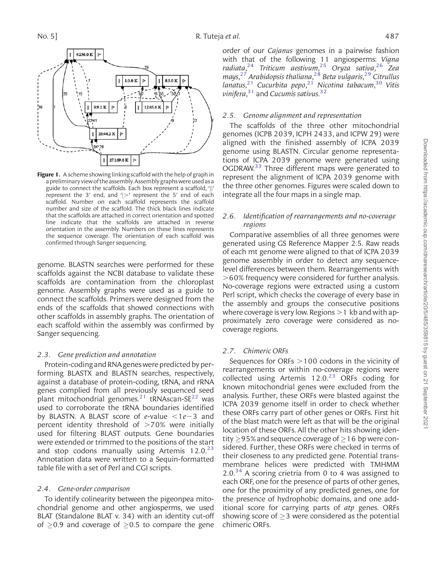<span id="page-2-0"></span>

Figure 1. A scheme showing linking scaffold with the help of graph in a preliminary view of the assembly. Assembly graphs were used as a guide to connect the scaffolds. Each box represent a scaffold, 'jj' represent the 3' end, and '|>' represent the 5' end of each scaffold. Number on each scaffold represents the scaffold number and size of the scaffold. The thick black lines indicate that the scaffolds are attached in correct orientation and spotted line indicate that the scaffolds are attached in reverse orientation in the assembly. Numbers on these lines represents the sequence coverage. The orientation of each scaffold was confirmed through Sanger sequencing.

genome. BLASTN searches were performed for these scaffolds against the NCBI database to validate these scaffolds are contamination from the chloroplast genome. Assembly graphs were used as a guide to connect the scaffolds. Primers were designed from the ends of the scaffolds that showed connections with other scaffolds in assembly graphs. The orientation of each scaffold within the assembly was confirmed by Sanger sequencing.

## 2.3. Gene prediction and annotation

Protein-coding and RNA genes were predicted by performing BLASTX and BLASTN searches, respectively, against a database of protein-coding, tRNA, and rRNA genes complied from all previously sequenced seed plant mitochondrial genomes.<sup>[21](#page-9-0)</sup> tRNAscan-SE<sup>[22](#page-9-0)</sup> was used to corroborate the tRNA boundaries identified by BLASTN. A BLAST score of e-value  $\lt 1e-3$  and percent identity threshold of  $>70%$  were initially used for filtering BLAST outputs. Gene boundaries were extended or trimmed to the positions of the start and stop codons manually using Artemis  $12.0.^{23}$ Annotation data were written to a Sequin-formatted table file with a set of Perl and CGI scripts.

#### 2.4. Gene-order comparison

To identify colinearity between the pigeonpea mitochondrial genome and other angiosperms, we used BLAT (Standalone BLAT v. 34) with an identity cut-off of  $\geq$ 0.9 and coverage of  $\geq$ 0.5 to compare the gene

order of our Cajanus genomes in a pairwise fashion with that of the following 11 angiosperms: Vigna radiata, [24](#page-9-0) Triticum aestivum, [25](#page-9-0) Oryza sativa, [26](#page-10-0) Zea mays, [27](#page-10-0) Arabidopsis thaliana, [28](#page-10-0) Beta vulgaris, [29](#page-10-0) Citrullus lanatus,<sup>[21](#page-9-0)</sup> Cucurbita pepo,<sup>21</sup> Nicotina tabacum,<sup>[30](#page-10-0)</sup> Vitis vinifera, $31$  and Cucumis sativus.  $32$ 

### 2.5. Genome alignment and representation

The scaffolds of the three other mitochondrial genomes (ICPB 2039, ICPH 2433, and ICPW 29) were aligned with the finished assembly of ICPA 2039 genome using BLASTN. Circular genome representations of ICPA 2039 genome were generated using OGDRAW.<sup>[33](#page-10-0)</sup> Three different maps were generated to represent the alignment of ICPA 2039 genome with the three other genomes. Figures were scaled down to integrate all the four maps in a single map.

## 2.6. Identification of rearrangements and no-coverage regions

Comparative assemblies of all three genomes were generated using GS Reference Mapper 2.5. Raw reads of each mt genome were aligned to that of ICPA 2039 genome assembly in order to detect any sequencelevel differences between them. Rearrangements with  $>60\%$  frequency were considered for further analysis. No-coverage regions were extracted using a custom Perl script, which checks the coverage of every base in the assembly and groups the consecutive positions where coverage is very low. Regions  $>1$  kb and with approximately zero coverage were considered as nocoverage regions.

#### 2.7. Chimeric ORFs

Sequences for ORFs  $>100$  codons in the vicinity of rearrangements or within no-coverage regions were collected using Artemis  $12.0<sup>23</sup>$  $12.0<sup>23</sup>$  $12.0<sup>23</sup>$  ORFs coding for known mitochondrial genes were excluded from the analysis. Further, these ORFs were blasted against the ICPA 2039 genome itself in order to check whether these ORFs carry part of other genes or ORFs. First hit of the blast match were left as that will be the original location of these ORFs. All the other hits showing identity  $\geq$  95% and sequence coverage of  $\geq$  16 bp were considered. Further, these ORFs were checked in terms of their closeness to any predicted gene. Potential transmembrane helices were predicted with TMHMM  $2.0<sup>34</sup>$  $2.0<sup>34</sup>$  $2.0<sup>34</sup>$  A scoring crietria from 0 to 4 was assigned to each ORF, one for the presence of parts of other genes, one for the proximity of any predicted genes, one for the presence of hydrophobic domains, and one additional score for carrying parts of atp genes. ORFs showing score of  $\geq$ 3 were considered as the potential chimeric ORFs.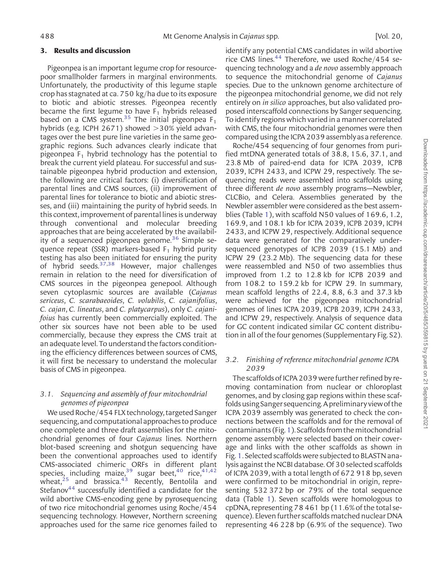#### 3. Results and discussion

Pigeonpea is an important legume crop for resourcepoor smallholder farmers in marginal environments. Unfortunately, the productivity of this legume staple crop has stagnated at ca. 750 kg/ha due to its exposure to biotic and abiotic stresses. Pigeonpea recently became the first legume to have  $F_1$  hybrids released based on a CMS system.<sup>[35](#page-10-0)</sup> The initial pigeonpea  $F_1$ hybrids (e.g. ICPH 2671) showed  $>$  30% yield advantages over the best pure line varieties in the same geographic regions. Such advances clearly indicate that pigeonpea  $F_1$  hybrid technology has the potential to break the current yield plateau. For successful and sustainable pigeonpea hybrid production and extension, the following are critical factors: (i) diversification of parental lines and CMS sources, (ii) improvement of parental lines for tolerance to biotic and abiotic stresses, and (iii) maintaining the purity of hybrid seeds. In this context, improvement of parental lines is underway through conventional and molecular breeding approaches that are being accelerated by the availabil-ity of a sequenced pigeonpea genome.<sup>[36](#page-10-0)</sup> Simple sequence repeat (SSR) markers-based  $F_1$  hybrid purity testing has also been initiated for ensuring the purity of hybrid seeds[.37](#page-10-0),[38](#page-10-0) However, major challenges remain in relation to the need for diversification of CMS sources in the pigeonpea genepool. Although seven cytoplasmic sources are available (Cajanus sericeus, C. scarabaeoides, C. volubilis, C. cajanifolius, C. cajan, C. lineatus, and C. platycarpus), only C. cajanifoius has currently been commercially exploited. The other six sources have not been able to be used commercially, because they express the CMS trait at an adequate level. To understand the factors conditioning the efficiency differences between sources of CMS, it will first be necessary to understand the molecular basis of CMS in pigeonpea.

## 3.1. Sequencing and assembly of four mitochondrial genomes of pigeonpea

We used Roche/454 FLX technology, targeted Sanger sequencing, and computational approaches to produce one complete and three draft assemblies for the mitochondrial genomes of four Cajanus lines. Northern blot-based screening and shotgun sequencing have been the conventional approaches used to identify CMS-associated chimeric ORFs in different plant species, including maize,  $39$  sugar beet,  $40$  rice,  $41,42$ wheat, $25$  and brassica. $43$  Recently, Bentolila and Stefanov<sup>[44](#page-10-0)</sup> successfully identified a candidate for the wild abortive CMS-encoding gene by pyrosequencing of two rice mitochondrial genomes using Roche/454 sequencing technology. However, Northern screening approaches used for the same rice genomes failed to identify any potential CMS candidates in wild abortive rice CMS lines.<sup>[44](#page-10-0)</sup> Therefore, we used Roche/454 sequencing technology and a de novo assembly approach to sequence the mitochondrial genome of Cajanus species. Due to the unknown genome architecture of the pigeonpea mitochondrial genome, we did not rely entirely on *in silico* approaches, but also validated proposed interscaffold connections by Sanger sequencing. To identify regions which varied in a manner correlated with CMS, the four mitochondrial genomes were then compared using the ICPA 2039 assemblyas a reference.

Roche/454 sequencing of four genomes from purified mtDNA generated totals of 38.8, 15.6, 37.1, and 23.8 Mb of paired-end data for ICPA 2039, ICPB 2039, ICPH 2433, and ICPW 29, respectively. The sequencing reads were assembled into scaffolds using three different de novo assembly programs—Newbler, CLCBio, and Celera. Assemblies generated by the Newbler assembler were considered as the best assemblies (Table [1\)](#page-4-0), with scaffold N50 values of 169.6, 1.2, 169.9, and 108.1 kb for ICPA 2039, ICPB 2039, ICPH 2433, and ICPW 29, respectively. Additional sequence data were generated for the comparatively undersequenced genotypes of ICPB 2039 (15.1 Mb) and ICPW 29 (23.2 Mb). The sequencing data for these were reassembled and N50 of two assemblies thus improved from 1.2 to 12.8 kb for ICPB 2039 and from 108.2 to 159.2 kb for ICPW 29. In summary, mean scaffold lengths of 22.4, 8.8, 6.3 and 37.3 kb were achieved for the pigeonpea mitochondrial genomes of lines ICPA 2039, ICPB 2039, ICPH 2433, and ICPW 29, respectively. Analysis of sequence data for GC content indicated similar GC content distribution in all of the four genomes ([Supplementary Fig. S2\)](http://dnaresearch.oxfordjournals.org/lookup/suppl/doi:10.1093/dnares/dst025/-/DC1).

## 3.2. Finishing of reference mitochondrial genome ICPA 2039

The scaffolds of ICPA 2039 were further refined by removing contamination from nuclear or chloroplast genomes, and by closing gap regions within these scaffolds using Sanger sequencing. A preliminary view of the ICPA 2039 assembly was generated to check the connections between the scaffolds and for the removal of contaminants(Fig.[1\)](#page-2-0).Scaffoldsfromthemitochondrial genome assembly were selected based on their coverage and links with the other scaffolds as shown in Fig. [1](#page-2-0). Selected scaffolds were subjected to BLASTN analysis against the NCBI database. Of 30 selected scaffolds of ICPA 2039, with a total length of 672 918 bp, seven were confirmed to be mitochondrial in origin, representing 532 372 bp or 79% of the total sequence data (Table [1](#page-4-0)). Seven scaffolds were homologous to cpDNA, representing 78 461 bp (11.6% of the total sequence). Eleven further scaffolds matched nuclear DNA representing 46 228 bp (6.9% of the sequence). Two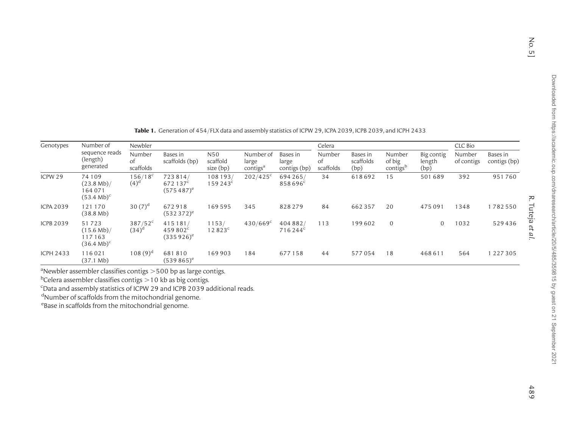No. 5] R. Tuteja

 $No. 5]$ 

R. Tuteja et al.

<span id="page-4-0"></span>

| Genotypes | Number of<br>sequence reads<br>(length)<br>generated      | Newbler                   |                                                |                              |                                            |                                   | Celera                    |                               |                                          |                              | CLC Bio              |                          |
|-----------|-----------------------------------------------------------|---------------------------|------------------------------------------------|------------------------------|--------------------------------------------|-----------------------------------|---------------------------|-------------------------------|------------------------------------------|------------------------------|----------------------|--------------------------|
|           |                                                           | Number<br>0f<br>scaffolds | Bases in<br>scaffolds (bp)                     | N50<br>scaffold<br>size (bp) | Number of<br>large<br>contigs <sup>a</sup> | Bases in<br>large<br>contigs (bp) | Number<br>0f<br>scaffolds | Bases in<br>scaffolds<br>(bp) | Number<br>of big<br>contigs <sup>b</sup> | Big contig<br>length<br>(bp) | Number<br>of contigs | Bases in<br>contigs (bp) |
| ICPW 29   | 74109<br>$(23.8 Mb)$ /<br>64071<br>$(53.4 \text{ Mb})^c$  | $156/18^c$<br>$(4)^d$     | 723814/<br>672137 <sup>c</sup><br>$(575487)^e$ | 108193/<br>$159243^c$        | $202/425^c$                                | 694 265/<br>858696 <sup>c</sup>   | 34                        | 618692                        | 15                                       | 501689                       | 392                  | 951760                   |
| ICPA 2039 | 121170<br>(38.8 Mb)                                       | 30 $(7)^d$                | 672918<br>$(532372)^e$                         | 169595                       | 345                                        | 828279                            | 84                        | 662357                        | 20                                       | 475091                       | 1348                 | 1782550                  |
| ICPB 2039 | 51723<br>$(15.6 Mb)$ /<br>117163<br>$(36.4 \text{ Mb})^c$ | $387/52^c$<br>$(34)^{d}$  | 415181/<br>459802 <sup>c</sup><br>$(335926)^e$ | 1153/<br>$12823^c$           | $430/669^c$                                | 404 882/<br>716244 <sup>c</sup>   | 113                       | 199602                        | $\overline{0}$                           | 0                            | 1032                 | 529436                   |
| ICPH 2433 | 116021<br>(37.1 Mb)                                       | $108(9)^d$                | 681810<br>$(539865)^e$                         | 169903                       | 184                                        | 677158                            | 44                        | 577054                        | 18                                       | 468611                       | 564                  | 1227305                  |

Table 1. Generation of <sup>454</sup>/FLX data and assembly statistics of ICPW 29, ICPA 2039, ICPB 2039, and ICPH 2433

 $\textsuperscript{a}$ Newbler assembler classifies contigs  $>$  500 bp as large contigs.

 $^{\rm b}$ Celera assembler classifies contigs  $>$  10 kb as big contigs.

 $\mathrm{c}_\mathrm{Data}$  and assembly statistics of ICPW 29 and ICPB 2039 additional reads.

<sup>d</sup>Number of scaffolds from the mitochondrial genome.

<sup>e</sup>Base in scaffolds from the mitochondrial genome.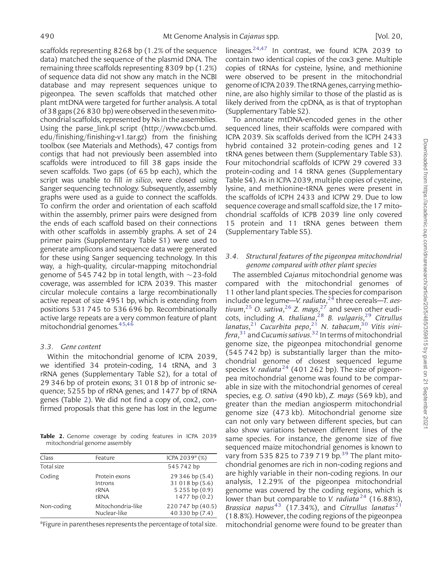scaffolds representing 8268 bp (1.2% of the sequence data) matched the sequence of the plasmid DNA. The remaining three scaffolds representing 8309 bp (1.2%) of sequence data did not show any match in the NCBI database and may represent sequences unique to pigeonpea. The seven scaffolds that matched other plant mtDNA were targeted for further analysis. A total of38gaps(26 830 bp)wereobservedinthesevenmitochondrial scaffolds, represented by Ns in the assemblies. Using the parse\_link.pl script (http://www.cbcb.umd. edu/finishing/finishing-v1.tar.gz) from the finishing toolbox (see Materials and Methods), 47 contigs from contigs that had not previously been assembled into scaffolds were introduced to fill 38 gaps inside the seven scaffolds. Two gaps (of 65 bp each), which the script was unable to fill in silico, were closed using Sanger sequencing technology. Subsequently, assembly graphs were used as a guide to connect the scaffolds. To confirm the order and orientation of each scaffold within the assembly, primer pairs were designed from the ends of each scaffold based on their connections with other scaffolds in assembly graphs. A set of 24 primer pairs ([Supplementary Table S1](http://dnaresearch.oxfordjournals.org/lookup/suppl/doi:10.1093/dnares/dst025/-/DC1)) were used to generate amplicons and sequence data were generated for these using Sanger sequencing technology. In this way, a high-quality, circular-mapping mitochondrial genome of 545 742 bp in total length, with  $\sim$  23-fold coverage, was assembled for ICPA 2039. This master circular molecule contains a large recombinationally active repeat of size 4951 bp, which is extending from positions 531 745 to 536 696 bp. Recombinationally active large repeats are a very common feature of plant mitochondrial genomes[.45,46](#page-10-0)

#### 3.3. Gene content

Within the mitochondrial genome of ICPA 2039, we identified 34 protein-coding, 14 tRNA, and 3 rRNA genes [\(Supplementary Table S2\)](http://dnaresearch.oxfordjournals.org/lookup/suppl/doi:10.1093/dnares/dst025/-/DC1), for a total of 29 346 bp of protein exons; 31 018 bp of intronic sequence; 5255 bp of rRNA genes; and 1477 bp of tRNA genes (Table 2). We did not find a copy of, cox2, confirmed proposals that this gene has lost in the legume

Table 2. Genome coverage by coding features in ICPA 2039 mitochondrial genome assembly

| Class      | Feature                                  | ICPA 2039 <sup>ª</sup> (%)                                             |
|------------|------------------------------------------|------------------------------------------------------------------------|
| Total size |                                          | 545742 bp                                                              |
| Coding     | Protein exons<br>Introns<br>rRNA<br>tRNA | 29 346 bp (5.4)<br>31 018 bp (5.6)<br>5255bp(0.9)<br>$1477$ bp $(0.2)$ |
| Non-coding | Mitochondria-like<br>Nuclear-like        | 220747 bp (40.5)<br>40 330 bp (7.4)                                    |

<sup>a</sup>Figure in parentheses represents the percentage of total size.

lineages. $24,47$  $24,47$  $24,47$  In contrast, we found ICPA 2039 to contain two identical copies of the cox3 gene. Multiple copies of tRNAs for cysteine, lysine, and methionine were observed to be present in the mitochondrial genome of ICPA 2039. The tRNA genes, carrying methionine, are also highly similar to those of the plastid as is likely derived from the cpDNA, as is that of tryptophan [\(Supplementary Table S2\)](http://dnaresearch.oxfordjournals.org/lookup/suppl/doi:10.1093/dnares/dst025/-/DC1).

To annotate mtDNA-encoded genes in the other sequenced lines, their scaffolds were compared with ICPA 2039. Six scaffolds derived from the ICPH 2433 hybrid contained 32 protein-coding genes and 12 tRNA genes between them ([Supplementary Table S3\)](http://dnaresearch.oxfordjournals.org/lookup/suppl/doi:10.1093/dnares/dst025/-/DC1). Four mitochondrial scaffolds of ICPW 29 covered 33 protein-coding and 14 tRNA genes [\(Supplementary](http://dnaresearch.oxfordjournals.org/lookup/suppl/doi:10.1093/dnares/dst025/-/DC1) [Table S4](http://dnaresearch.oxfordjournals.org/lookup/suppl/doi:10.1093/dnares/dst025/-/DC1)). As in ICPA 2039, multiple copies of cysteine, lysine, and methionine-tRNA genes were present in the scaffolds of ICPH 2433 and ICPW 29. Due to low sequence coverage and small scaffold size, the 17 mitochondrial scaffolds of ICPB 2039 line only covered 15 protein and 11 tRNA genes between them [\(Supplementary Table S5](http://dnaresearch.oxfordjournals.org/lookup/suppl/doi:10.1093/dnares/dst025/-/DC1)).

## 3.4. Structural features of the pigeonpea mitochondrial genome compared with other plant species

The assembled Cajanus mitochondrial genome was compared with the mitochondrial genomes of 11 other land plant species. The species forcomparison include one legume—V. radiata,<sup>[24](#page-9-0)</sup> three cereals—T. aes-tivum,<sup>[25](#page-9-0)</sup> O. sativa,<sup>[26](#page-10-0)</sup> Z. mays,<sup>[27](#page-10-0)</sup> and seven other eudi-cots, including A. thaliana,<sup>[28](#page-10-0)</sup> B. vulgaris,<sup>[29](#page-10-0)</sup> Citrullus lanatus,<sup>[21](#page-9-0)</sup> Cucurbita pepo,<sup>21</sup> N. tabacum,<sup>[30](#page-10-0)</sup> Vitis vini*fera*, $^{31}$  $^{31}$  $^{31}$  and *Cucumis sativus.* $^{32}$  $^{32}$  $^{32}$  In terms of mitochondrial genome size, the pigeonpea mitochondrial genome (545 742 bp) is substantially larger than the mitochondrial genome of closest sequenced legume species V. radiata<sup>[24](#page-9-0)</sup> (401 262 bp). The size of pigeonpea mitochondrial genome was found to be comparable in size with the mitochondrial genomes of cereal species, e.g. O. sativa (490 kb), Z. mays (569 kb), and greater than the median angiosperm mitochondrial genome size (473 kb). Mitochondrial genome size can not only vary between different species, but can also show variations between different lines of the same species. For instance, the genome size of five sequenced maize mitochondrial genomes is known to vary from 535 825 to 7[39](#page-10-0) 719 bp.<sup>39</sup> The plant mitochondrial genomes are rich in non-coding regions and are highly variable in their non-coding regions. In our analysis, 12.29% of the pigeonpea mitochondrial genome was covered by the coding regions, which is lower than but comparable to *V. radiata*<sup>[24](#page-9-0)</sup> (16.88%), Brassica napus<sup>[43](#page-10-0)</sup> (17.34%), and Citrullus lanatus<sup>[21](#page-9-0)</sup> (18.8%). However, the coding regions of the pigeonpea mitochondrial genome were found to be greater than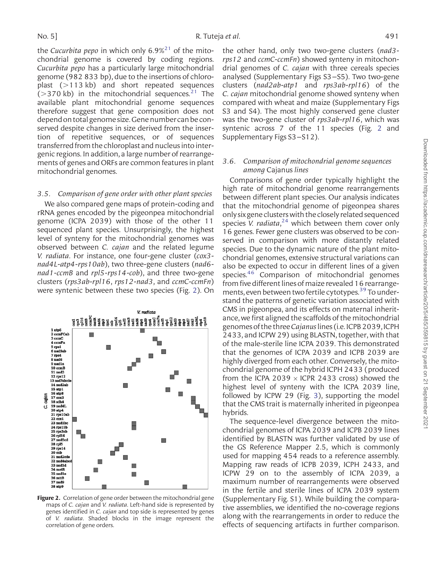the Cucurbita pepo in which only  $6.9\%^{21}$  $6.9\%^{21}$  $6.9\%^{21}$  of the mitochondrial genome is covered by coding regions. Cucurbita pepo has a particularly large mitochondrial genome (982 833 bp), due to the insertions of chloroplast  $(>113 \text{ kb})$  and short repeated sequences ( $>370$  kb) in the mitochondrial sequences.<sup>[21](#page-9-0)</sup> The available plant mitochondrial genome sequences therefore suggest that gene composition does not depend on total genome size. Gene number can be conserved despite changes in size derived from the insertion of repetitive sequences, or of sequences transferred from the chloroplast and nucleus into intergenic regions. In addition, a large number of rearrangements of genes and ORFs are common features in plant mitochondrial genomes.

#### 3.5. Comparison of gene order with other plant species

We also compared gene maps of protein-coding and rRNA genes encoded by the pigeonpea mitochondrial genome (ICPA 2039) with those of the other 11 sequenced plant species. Unsurprisingly, the highest level of synteny for the mitochondrial genomes was observed between C. cajan and the related legume V. radiata. For instance, one four-gene cluster (cox3 nad4L-atp4-rps10ab), two three-gene clusters (nad6 nad1-ccmB and rpl5-rps14-cob), and three two-gene clusters (rps3ab-rpl16, rps12-nad3, and ccmC-ccmFn) were syntenic between these two species (Fig. 2). On



Figure 2. Correlation of gene order between the mitochondrial gene maps of C. cajan and V. radiata. Left-hand side is represented by genes identified in C. cajan and top side is represented by genes of V. radiata. Shaded blocks in the image represent the correlation of gene orders.

the other hand, only two two-gene clusters (nad3 rps12 and ccmC-ccmFn) showed synteny in mitochondrial genomes of C. cajan with three cereals species analysed [\(Supplementary Figs S3–S5\)](http://dnaresearch.oxfordjournals.org/lookup/suppl/doi:10.1093/dnares/dst025/-/DC1). Two two-gene clusters (nad2ab-atp1 and rps3ab-rpl16) of the C. cajan mitochondrial genome showed synteny when compared with wheat and maize ([Supplementary Figs](http://dnaresearch.oxfordjournals.org/lookup/suppl/doi:10.1093/dnares/dst025/-/DC1) [S3 and S4](http://dnaresearch.oxfordjournals.org/lookup/suppl/doi:10.1093/dnares/dst025/-/DC1)). The most highly conserved gene cluster was the two-gene cluster of rps3ab-rpl16, which was syntenic across 7 of the 11 species (Fig. 2 and [Supplementary Figs S3–S12](http://dnaresearch.oxfordjournals.org/lookup/suppl/doi:10.1093/dnares/dst025/-/DC1)).

## 3.6. Comparison of mitochondrial genome sequences among Cajanus lines

Comparisons of gene order typically highlight the high rate of mitochondrial genome rearrangements between different plant species. Our analysis indicates that the mitochondrial genome of pigeonpea shares onlysix gene clusters with the closely related sequenced species V. radiata,<sup>[24](#page-9-0)</sup> which between them cover only 16 genes. Fewer gene clusters was observed to be conserved in comparison with more distantly related species. Due to the dynamic nature of the plant mitochondrial genomes, extensive structural variations can also be expected to occur in different lines of a given species.<sup>[46](#page-10-0)</sup> Comparison of mitochondrial genomes from five different lines of maize revealed 16 rearrange-ments, even between two fertile cytotypes.<sup>[39](#page-10-0)</sup> To understand the patterns of genetic variation associated with CMS in pigeonpea, and its effects on maternal inheritance, we first aligned the scaffolds of the mitochondrial genomes of the three Cajanus lines (i.e. ICPB 2039, ICPH 2433, and ICPW 29) using BLASTN, together, with that of the male-sterile line ICPA 2039. This demonstrated that the genomes of ICPA 2039 and ICPB 2039 are highly diverged from each other. Conversely, the mitochondrial genome of the hybrid ICPH 2433 (produced from the ICPA 2039  $\times$  ICPR 2433 cross) showed the highest level of synteny with the ICPA 2039 line, followed by ICPW 29 (Fig. [3](#page-7-0)), supporting the model that the CMS trait is maternally inherited in pigeonpea hybrids.

The sequence-level divergence between the mitochondrial genomes of ICPA 2039 and ICPB 2039 lines identified by BLASTN was further validated by use of the GS Reference Mapper 2.5, which is commonly used for mapping 454 reads to a reference assembly. Mapping raw reads of ICPB 2039, ICPH 2433, and ICPW 29 on to the assembly of ICPA 2039, a maximum number of rearrangements were observed in the fertile and sterile lines of ICPA 2039 system [\(Supplementary Fig. S1\)](http://dnaresearch.oxfordjournals.org/lookup/suppl/doi:10.1093/dnares/dst025/-/DC1). While building the comparative assemblies, we identified the no-coverage regions along with the rearrangements in order to reduce the effects of sequencing artifacts in further comparison.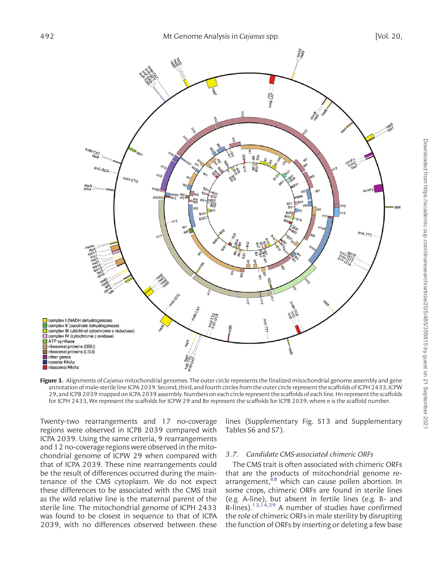<span id="page-7-0"></span>

Figure 3. Alignments of Cajanus mitochondrial genomes. The outer circle represents the finalized mitochondrial genome assembly and gene annotation of male-sterile line ICPA 2039. Second, third, and fourth circles from the outercircle represent the scaffolds of ICPH 2433, ICPW 29, and ICPB 2039 mapped on ICPA 2039 assembly. Numbers on each circle represent the scaffolds of each line. Hn represent the scaffolds for ICPH 2433, Wn represent the scaffolds for ICPW 29 and Bn represent the scaffolds for ICPB 2039, where n is the scaffold number.

Twenty-two rearrangements and 17 no-coverage regions were observed in ICPB 2039 compared with ICPA 2039. Using the same criteria, 9 rearrangements and 12 no-coverage regions were observed in the mitochondrial genome of ICPW 29 when compared with that of ICPA 2039. These nine rearrangements could be the result of differences occurred during the maintenance of the CMS cytoplasm. We do not expect these differences to be associated with the CMS trait as the wild relative line is the maternal parent of the sterile line. The mitochondrial genome of ICPH 2433 was found to be closest in sequence to that of ICPA 2039, with no differences observed between these lines [\(Supplementary Fig. S13](http://dnaresearch.oxfordjournals.org/lookup/suppl/doi:10.1093/dnares/dst025/-/DC1) and [Supplementary](http://dnaresearch.oxfordjournals.org/lookup/suppl/doi:10.1093/dnares/dst025/-/DC1) [Tables S6 and S7\)](http://dnaresearch.oxfordjournals.org/lookup/suppl/doi:10.1093/dnares/dst025/-/DC1).

#### 3.7. Candidate CMS-associated chimeric ORFs

The CMS trait is often associated with chimeric ORFs that are the products of mitochondrial genome rearrangement, $48$  which can cause pollen abortion. In some crops, chimeric ORFs are found in sterile lines (e.g. A-line), but absent in fertile lines (e.g. B- and  $R$ -lines).<sup>[13,14](#page-9-0),[39](#page-10-0)</sup> A number of studies have confirmed the role of chimeric ORFs in male sterility by disrupting the function of ORFs by inserting or deleting a few base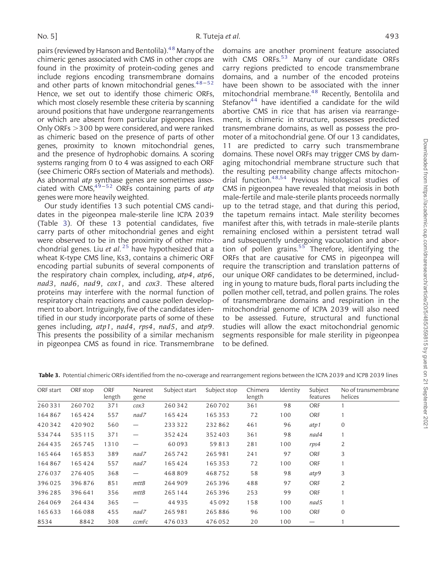pairs (reviewed by Hanson and Bentolila)[.48](#page-10-0) Many of the chimeric genes associated with CMS in other crops are found in the proximity of protein-coding genes and include regions encoding transmembrane domains and other parts of known mitochondrial genes.  $48-52$  $48-52$ Hence, we set out to identify those chimeric ORFs, which most closely resemble these criteria by scanning around positions that have undergone rearrangements or which are absent from particular pigeonpea lines. Only ORFs  $>$  300 bp were considered, and were ranked as chimeric based on the presence of parts of other genes, proximity to known mitochondrial genes, and the presence of hydrophobic domains. A scoring systems ranging from 0 to 4 was assigned to each ORF (see Chimeric ORFs section of Materials and methods). As abnormal *atp* synthase genes are sometimes associated with  $CMS<sub>19-52</sub>$  $CMS<sub>19-52</sub>$  $CMS<sub>19-52</sub>$  ORFs containing parts of atp genes were more heavily weighted.

Our study identifies 13 such potential CMS candidates in the pigeonpea male-sterile line ICPA 2039 (Table 3). Of these 13 potential candidates, five carry parts of other mitochondrial genes and eight were observed to be in the proximity of other mitochondrial genes. Liu et  $al.^{25}$  $al.^{25}$  $al.^{25}$  have hypothesized that a wheat K-type CMS line, Ks3, contains a chimeric ORF encoding partial subunits of several components of the respiratory chain complex, including, atp4, atp6, nad3, nad6, nad9, cox1, and cox3. These altered proteins may interfere with the normal function of respiratory chain reactions and cause pollen development to abort. Intriguingly, five of the candidates identified in our study incorporate parts of some of these genes including, atp1, nad4, rps4, nad5, and atp9. This presents the possibility of a similar mechanism in pigeonpea CMS as found in rice. Transmembrane

domains are another prominent feature associated with CMS ORFs. $53$  Many of our candidate ORFs carry regions predicted to encode transmembrane domains, and a number of the encoded proteins have been shown to be associated with the inner mitochondrial membrane.<sup>48</sup> Recently, Bentolila and Stefanov $44$  have identified a candidate for the wild abortive CMS in rice that has arisen via rearrangement, is chimeric in structure, possesses predicted transmembrane domains, as well as possess the promoter of a mitochondrial gene. Of our 13 candidates, 11 are predicted to carry such transmembrane domains. These novel ORFs may trigger CMS by damaging mitochondrial membrane structure such that the resulting permeability change affects mitochondrial function[.48,54](#page-10-0) Previous histological studies of CMS in pigeonpea have revealed that meiosis in both male-fertile and male-sterile plants proceeds normally up to the tetrad stage, and that during this period, the tapetum remains intact. Male sterility becomes manifest after this, with tetrads in male-sterile plants remaining enclosed within a persistent tetrad wall and subsequently undergoing vacuolation and abortion of pollen grains. $55$  Therefore, identifying the ORFs that are causative for CMS in pigeonpea will require the transcription and translation patterns of our unique ORF candidates to be determined, including in young to mature buds, floral parts including the pollen mother cell, tetrad, and pollen grains. The roles of transmembrane domains and respiration in the mitochondrial genome of ICPA 2039 will also need to be assessed. Future, structural and functional studies will allow the exact mitochondrial genomic segments responsible for male sterility in pigeonpea to be defined.

| ORF start | ORF stop | ORF<br>length | Nearest<br>gene                  | Subject start | Subject stop | Chimera<br>length | Identity | Subject<br>features | No of transmembrane<br>helices |
|-----------|----------|---------------|----------------------------------|---------------|--------------|-------------------|----------|---------------------|--------------------------------|
| 260331    | 260702   | 371           | cos3                             | 260342        | 260702       | 361               | 98       | <b>ORF</b>          |                                |
| 164867    | 165424   | 557           | nad7                             | 165424        | 165353       | 72                | 100      | ORF                 |                                |
| 420342    | 420902   | 560           | $\overbrace{\phantom{1232211}}$  | 233322        | 232862       | 461               | 96       | atp1                | $\mathbf{0}$                   |
| 534744    | 535115   | 371           | —                                | 352424        | 352403       | 361               | 98       | nad4                |                                |
| 264435    | 265745   | 1310          | $\overbrace{\phantom{1232211}}$  | 60093         | 59813        | 281               | 100      | rps4                | 2                              |
| 165464    | 165853   | 389           | nad7                             | 265742        | 265981       | 241               | 97       | <b>ORF</b>          | 3                              |
| 164867    | 165424   | 557           | nad7                             | 165424        | 165353       | 72                | 100      | ORF                 |                                |
| 276037    | 276405   | 368           | $\overbrace{\phantom{1232211}}$  | 468809        | 468752       | 58                | 98       | atp9                | 3                              |
| 396025    | 396876   | 851           | mttB                             | 264909        | 265396       | 488               | 97       | <b>ORF</b>          | 2                              |
| 396285    | 396641   | 356           | $m$ tt $B$                       | 265144        | 265396       | 253               | 99       | ORF                 | 1                              |
| 264 069   | 264434   | 365           | $\overbrace{\phantom{12322111}}$ | 44935         | 45092        | 158               | 100      | nad5                |                                |
| 165633    | 166088   | 455           | nad7                             | 265981        | 265886       | 96                | 100      | ORF                 | $\mathbf{0}$                   |
| 8534      | 8842     | 308           | ccmFc                            | 476033        | 476052       | 20                | 100      |                     |                                |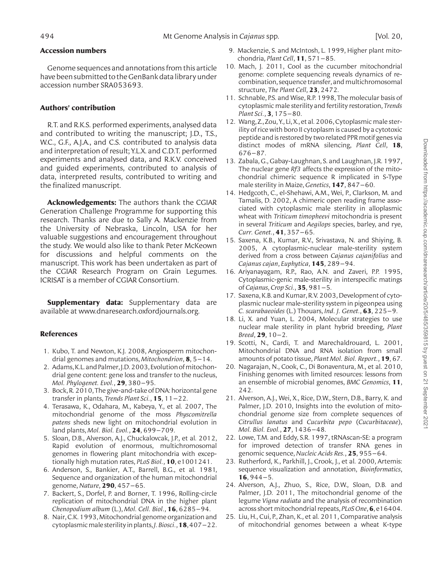## <span id="page-9-0"></span>Accession numbers

Genome sequences and annotations from this article have been submitted to the GenBank data library under accession number SRA053693.

## Authors' contribution

R.T. and R.K.S. performed experiments, analysed data and contributed to writing the manuscript; J.D., T.S., W.C., G.F., A.J.A., and C.S. contributed to analysis data and interpretation of result; Y.L.X. and C.D.T. performed experiments and analysed data, and R.K.V. conceived and guided experiments, contributed to analysis of data, interpreted results, contributed to writing and the finalized manuscript.

Acknowledgements: The authors thank the CGIAR Generation Challenge Programme for supporting this research. Thanks are due to Sally A. Mackenzie from the University of Nebraska, Lincoln, USA for her valuable suggestions and encouragement throughout the study. We would also like to thank Peter McKeown for discussions and helpful comments on the manuscript. This work has been undertaken as part of the CGIAR Research Program on Grain Legumes. ICRISAT is a member of CGIAR Consortium.

**Supplementary data:** [Supplementary data are](http://dnaresearch.oxfordjournals.org/lookup/suppl/doi:10.1093/dnares/dst025/-/DC1) [available at www.dnaresearch.oxfordjournals.org.](http://dnaresearch.oxfordjournals.org/lookup/suppl/doi:10.1093/dnares/dst025/-/DC1)

# References

- 1. Kubo, T. and Newton, K.J. 2008, Angiosperm mitochondrial genomes and mutations, *Mitochondrion*, **8**,  $5-14$ .
- 2. Adams, K.L. and Palmer, J.D. 2003, Evolution of mitochondrial gene content: gene loss and transfer to the nucleus, Mol. Phylogenet. Evol., 29, 380–95.
- 3. Bock, R. 2010, The give-and-take of DNA: horizontal gene transfer in plants, Trends Plant Sci.,  $15$ ,  $11-22$ .
- 4. Terasawa, K., Odahara, M., Kabeya, Y., et al. 2007, The mitochondrial genome of the moss Physcomitrella patens sheds new light on mitochondrial evolution in land plants, Mol. Biol. Evol., 24, 699–709.
- 5. Sloan, D.B., Alverson, A.J., Chuckalovcak, J.P., et al. 2012, Rapid evolution of enormous, multichromosomal genomes in flowering plant mitochondria with exceptionally high mutation rates, *PLoS Biol.*, **10**, e1001241.
- 6. Anderson, S., Bankier, A.T., Barrell, B.G., et al. 1981, Sequence and organization of the human mitochondrial genome, Nature, 290, 457–65.
- 7. Backert, S., Dorfel, P. and Borner, T. 1996, Rolling-circle replication of mitochondrial DNA in the higher plant Chenopodium album (L.), Mol. Cell. Biol.,  $16, 6285 - 94$ .
- 8. Nair, C.K. 1993, Mitochondrial genome organization and cytoplasmic male sterility in plants, *J. Biosci.*, **18**, 407-22.
- 9. Mackenzie, S. and McIntosh, L. 1999, Higher plant mitochondria, Plant Cell, 11, 571–85.
- 10. Mach, J. 2011, Cool as the cucumber mitochondrial genome: complete sequencing reveals dynamics of recombination, sequence transfer, and multichromosomal structure, The Plant Cell, 23, 2472.
- 11. Schnable, P.S. and Wise, R.P. 1998, The molecular basis of cytoplasmic male sterility and fertility restoration, Trends Plant Sci., 3, 175–80.
- 12. Wang, Z., Zou, Y., Li, X., et al. 2006, Cytoplasmic male sterility of rice with boro II cytoplasm is caused by a cytotoxic peptide and is restored by two related PPR motif genes via distinct modes of mRNA silencing, Plant Cell, 18, 676–87.
- 13. Zabala, G., Gabay-Laughnan, S. and Laughnan, J.R. 1997, The nuclear gene  $Rf3$  affects the expression of the mitochondrial chimeric sequence R implicated in S-Type male sterility in Maize, Genetics, **147**, 847–60.
- 14. Hedgcoth, C., el-Shehawi, A.M., Wei, P., Clarkson, M. and Tamalis, D. 2002, A chimeric open reading frame associated with cytoplasmic male sterility in alloplasmic wheat with Triticum timopheevi mitochondria is present in several Triticum and Aegilops species, barley, and rye, Curr. Genet., 41, 357–65.
- 15. Saxena, K.B., Kumar, R.V., Srivastava, N. and Shiying, B. 2005, A cytoplasmic-nuclear male-sterility system derived from a cross between Cajanus cajanifolius and Cajanus cajan, Euphytica, 145, 289–94.
- 16. Ariyanayagam, R.P., Rao, A.N. and Zaveri, P.P. 1995, Cytoplasmic-genic male-sterility in interspecific matings of Cajanus, Crop Sci.,  $35,981-5$ .
- 17. Saxena, K.B. and Kumar, R.V. 2003, Development of cytoplasmic nuclear male-sterility system in pigeonpea using C. scarabaeoides (L.) Thouars, Ind. J. Genet.,  $63$ ,  $225-9$ .
- 18. Li, X. and Yuan, L. 2004, Molecular strategies to use nuclear male sterility in plant hybrid breeding, Plant  $Breed, 29, 10-2.$
- 19. Scotti, N., Cardi, T. and Marechaldrouard, L. 2001, Mitochondrial DNA and RNA isolation from small amounts of potato tissue, Plant Mol. Biol. Report., 19, 67.
- 20. Nagarajan, N., Cook, C., Di Bonaventura, M., et al. 2010, Finishing genomes with limited resources: lessons from an ensemble of microbial genomes, BMC Genomics, 11, 242.
- 21. Alverson, A.J., Wei, X., Rice, D.W., Stern, D.B., Barry, K. and Palmer, J.D. 2010, Insights into the evolution of mitochondrial genome size from complete sequences of Citrullus lanatus and Cucurbita pepo (Cucurbitaceae), Mol. Biol. Evol., 27, 1436–48.
- 22. Lowe, T.M. and Eddy, S.R. 1997, tRNAscan-SE: a program for improved detection of transfer RNA genes in genomic sequence, Nucleic Acids Res., 25, 955-64.
- 23. Rutherford, K., Parkhill, J., Crook, J., et al. 2000, Artemis: sequence visualization and annotation, *Bioinformatics*,  $16, 944-5.$
- 24. Alverson, A.J., Zhuo, S., Rice, D.W., Sloan, D.B. and Palmer, J.D. 2011, The mitochondrial genome of the legume Vigna radiata and the analysis of recombination across short mitochondrial repeats, *PLoS One*, **6**, e16404.
- 25. Liu, H., Cui, P., Zhan, K., et al. 2011, Comparative analysis of mitochondrial genomes between a wheat K-type